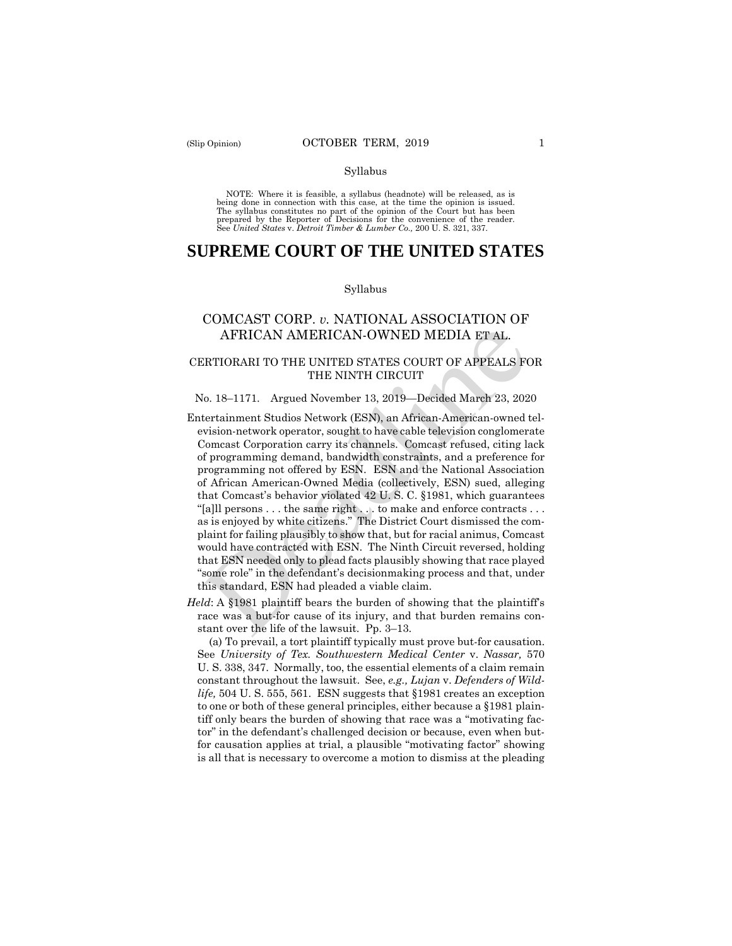#### Syllabus

 NOTE: Where it is feasible, a syllabus (headnote) will be released, as is being done in connection with this case, at the time the opinion is issued. The syllabus constitutes no part of the opinion of the Court but has been<br>prepared by the Reporter of Decisions for the convenience of the reader.<br>See United States v. Detroit Timber & Lumber Co., 200 U.S. 321, 337.

# **SUPREME COURT OF THE UNITED STATES**

#### Syllabus

# COMCAST CORP. *v.* NATIONAL ASSOCIATION OF AFRICAN AMERICAN-OWNED MEDIA ET AL.

## CERTIORARI TO THE UNITED STATES COURT OF APPEALS FOR THE NINTH CIRCUIT

#### No. 18–1171. Argued November 13, 2019—Decided March 23, 2020

- Comcast Corporation carry its channels. Comcast refused, citing lack as is enjoyed by white citizens." The District Court dismissed the com-Entertainment Studios Network (ESN), an African-American-owned television-network operator, sought to have cable television conglomerate of programming demand, bandwidth constraints, and a preference for programming not offered by ESN. ESN and the National Association of African American-Owned Media (collectively, ESN) sued, alleging that Comcast's behavior violated 42 U. S. C. §1981, which guarantees "[a]ll persons . . . the same right . . . to make and enforce contracts . . . plaint for failing plausibly to show that, but for racial animus, Comcast would have contracted with ESN. The Ninth Circuit reversed, holding that ESN needed only to plead facts plausibly showing that race played "some role" in the defendant's decisionmaking process and that, under this standard, ESN had pleaded a viable claim. AFRICAN AMERICAN-OWNED MEDIA ET AL.<br>
ERTIORARI TO THE UNITED STATES COURT OF APPEALS FORE THE NINTH CIRCUIT<br>
SERVIORARI TO THE UNITED STATES COURT OF APPEALS FOR THE NINTH CIRCUIT<br>
SOMETRIFURNATION (ESN), an African-Americ
- *Held*: A §1981 plaintiff bears the burden of showing that the plaintiff's race was a but-for cause of its injury, and that burden remains constant over the life of the lawsuit. Pp. 3–13.

(a) To prevail, a tort plaintiff typically must prove but-for causation. See *University of Tex. Southwestern Medical Center* v. *Nassar,* 570 U. S. 338, 347. Normally, too, the essential elements of a claim remain constant throughout the lawsuit. See, *e.g., Lujan* v. *Defenders of Wildlife,* 504 U. S. 555, 561. ESN suggests that §1981 creates an exception to one or both of these general principles, either because a §1981 plaintiff only bears the burden of showing that race was a "motivating factor" in the defendant's challenged decision or because, even when butfor causation applies at trial, a plausible "motivating factor" showing is all that is necessary to overcome a motion to dismiss at the pleading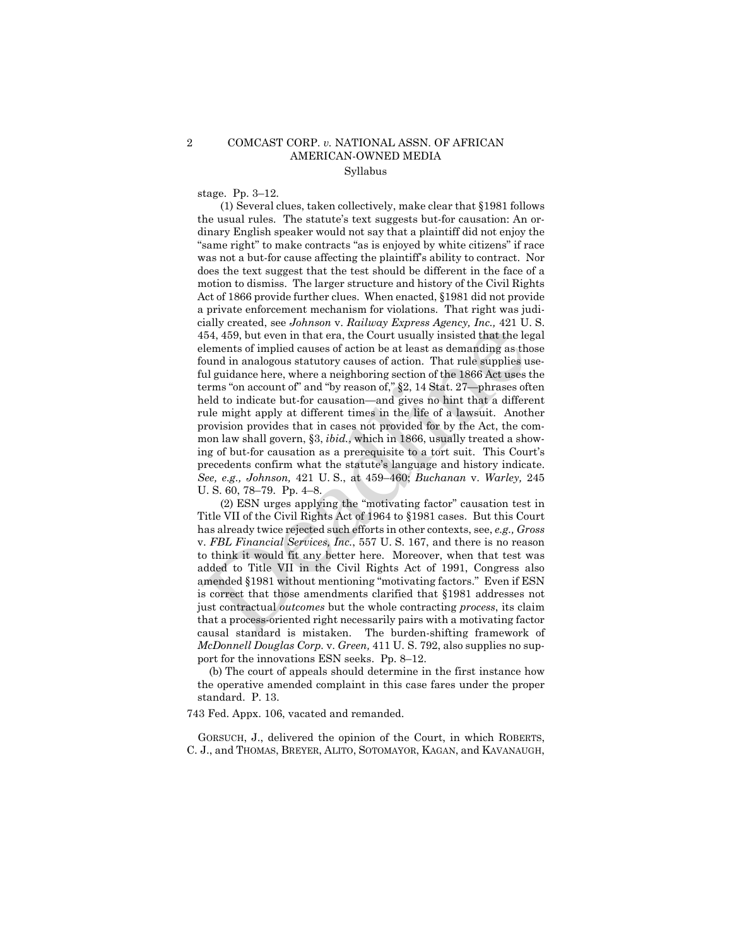### 2 COMCAST CORP. *v.* NATIONAL ASSN. OF AFRICAN AMERICAN-OWNED MEDIA Syllabus

stage. Pp. 3–12.

(1) Several clues, taken collectively, make clear that §1981 follows the usual rules. The statute's text suggests but-for causation: An ordinary English speaker would not say that a plaintiff did not enjoy the "same right" to make contracts "as is enjoyed by white citizens" if race was not a but-for cause affecting the plaintiff's ability to contract. Nor does the text suggest that the test should be different in the face of a motion to dismiss. The larger structure and history of the Civil Rights Act of 1866 provide further clues. When enacted, §1981 did not provide a private enforcement mechanism for violations. That right was judicially created, see *Johnson* v. *Railway Express Agency, Inc.,* 421 U. S. 454, 459, but even in that era, the Court usually insisted that the legal elements of implied causes of action be at least as demanding as those found in analogous statutory causes of action. That rule supplies useful guidance here, where a neighboring section of the 1866 Act uses the terms "on account of" and "by reason of," §2, 14 Stat. 27—phrases often held to indicate but-for causation—and gives no hint that a different rule might apply at different times in the life of a lawsuit. Another provision provides that in cases not provided for by the Act, the common law shall govern, §3, *ibid.*, which in 1866, usually treated a showing of but-for causation as a prerequisite to a tort suit. This Court's precedents confirm what the statute's language and history indicate. *See, e.g., Johnson,* 421 U. S., at 459–460; *Buchanan* v. *Warley,* 245 U. S. 60, 78–79. Pp. 4–8. and the leader of implied causes of action be allowed at the leader and in allow the leader and the leader and the leader and the leader and the leader and the leader of a count of and "by reason of," §2, 14 Stat. 27—phra

(2) ESN urges applying the "motivating factor" causation test in Title VII of the Civil Rights Act of 1964 to §1981 cases. But this Court has already twice rejected such efforts in other contexts, see, *e.g., Gross*  v. *FBL Financial Services, Inc.*, 557 U. S. 167, and there is no reason to think it would fit any better here. Moreover, when that test was added to Title VII in the Civil Rights Act of 1991, Congress also amended §1981 without mentioning "motivating factors." Even if ESN is correct that those amendments clarified that §1981 addresses not just contractual *outcomes* but the whole contracting *process*, its claim that a process-oriented right necessarily pairs with a motivating factor causal standard is mistaken. The burden-shifting framework of *McDonnell Douglas Corp.* v. *Green,* 411 U. S. 792, also supplies no support for the innovations ESN seeks. Pp. 8–12.

(b) The court of appeals should determine in the first instance how the operative amended complaint in this case fares under the proper standard. P. 13.

743 Fed. Appx. 106, vacated and remanded.

GORSUCH, J., delivered the opinion of the Court, in which ROBERTS, C. J., and THOMAS, BREYER, ALITO, SOTOMAYOR, KAGAN, and KAVANAUGH,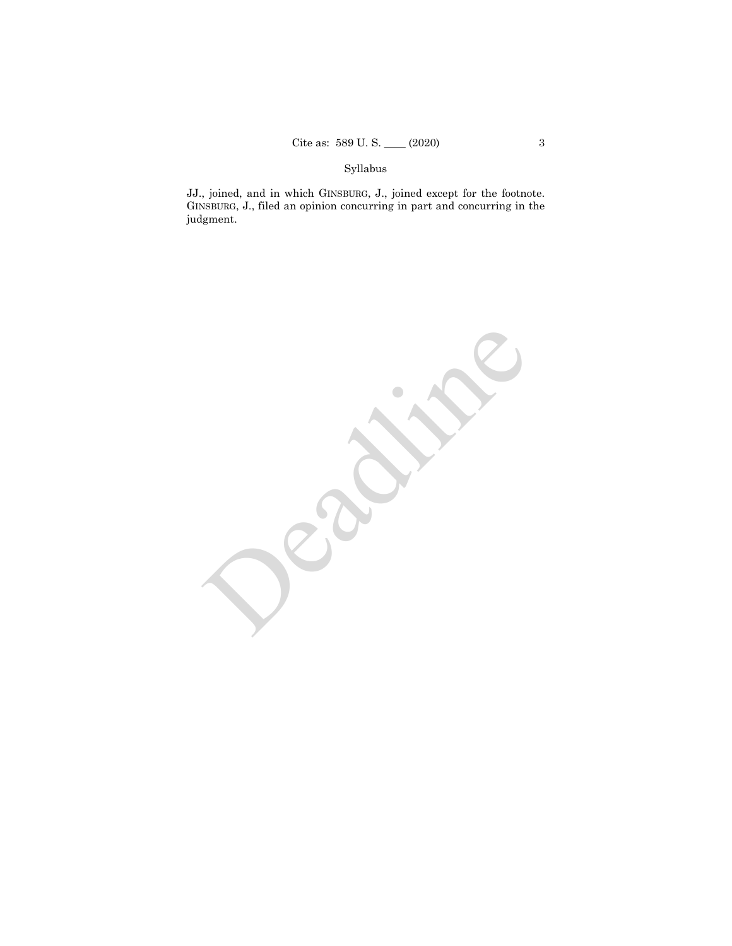# Syllabus

JJ., joined, and in which GINSBURG, J., joined except for the footnote. GINSBURG, J., filed an opinion concurring in part and concurring in the judgment.

Deadlished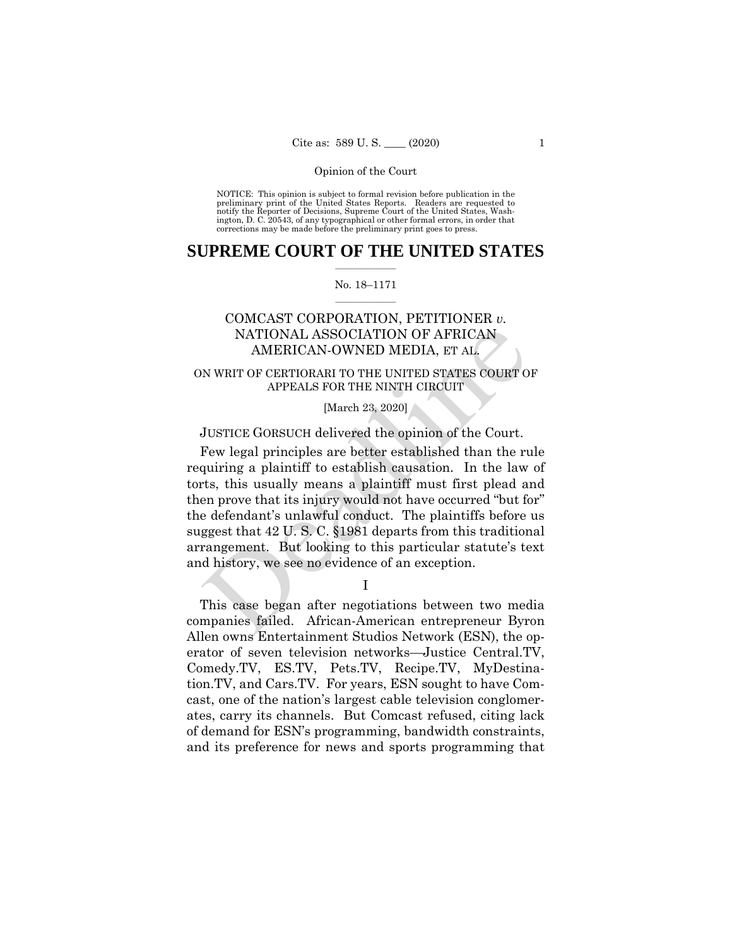NOTICE: This opinion is subject to formal revision before publication in the preliminary print of the United States Reports. Readers are requested to notify the Reporter of Decisions, Supreme Court of the United States, Wash-ington, D. C. 20543, of any typographical or other formal errors, in order that corrections may be made before the preliminary print goes to press.

### $\frac{1}{2}$  ,  $\frac{1}{2}$  ,  $\frac{1}{2}$  ,  $\frac{1}{2}$  ,  $\frac{1}{2}$  ,  $\frac{1}{2}$  ,  $\frac{1}{2}$ **SUPREME COURT OF THE UNITED STATES**

#### $\frac{1}{2}$  ,  $\frac{1}{2}$  ,  $\frac{1}{2}$  ,  $\frac{1}{2}$  ,  $\frac{1}{2}$  ,  $\frac{1}{2}$ No. 18–1171

# COMCAST CORPORATION, PETITIONER *v.*  NATIONAL ASSOCIATION OF AFRICAN AMERICAN-OWNED MEDIA, ET AL.

## ON WRIT OF CERTIORARI TO THE UNITED STATES COURT OF APPEALS FOR THE NINTH CIRCUIT

## [March 23, 2020]

## JUSTICE GORSUCH delivered the opinion of the Court.

Few legal principles are better established than the rule requiring a plaintiff to establish causation. In the law of torts, this usually means a plaintiff must first plead and then prove that its injury would not have occurred "but for" the defendant's unlawful conduct. The plaintiffs before us suggest that 42 U. S. C. §1981 departs from this traditional arrangement. But looking to this particular statute's text and history, we see no evidence of an exception. NATIONAL ASSOCIATION OF AFRICAN<br>
AMERICAN-OWNED MEDIA, ET AL.<br>
N WRIT OF CERTIORARI TO THE UNITED STATES COURT O<br>
APPEALS FOR THE NINTH CIRCUIT<br>
[March 23, 2020]<br>
JUSTICE GORSUCH delivered the opinion of the Court.<br>
Few le

I

This case began after negotiations between two media companies failed. African-American entrepreneur Byron Allen owns Entertainment Studios Network (ESN), the operator of seven television networks—Justice [Central.TV,](https://Central.TV) [Comedy.TV](https://Comedy.TV), ES.TV, Pets.TV, [Recipe.TV](https://Recipe.TV), MyDestination.TV, and Cars.TV. For years, ESN sought to have Comcast, one of the nation's largest cable television conglomerates, carry its channels. But Comcast refused, citing lack of demand for ESN's programming, bandwidth constraints, and its preference for news and sports programming that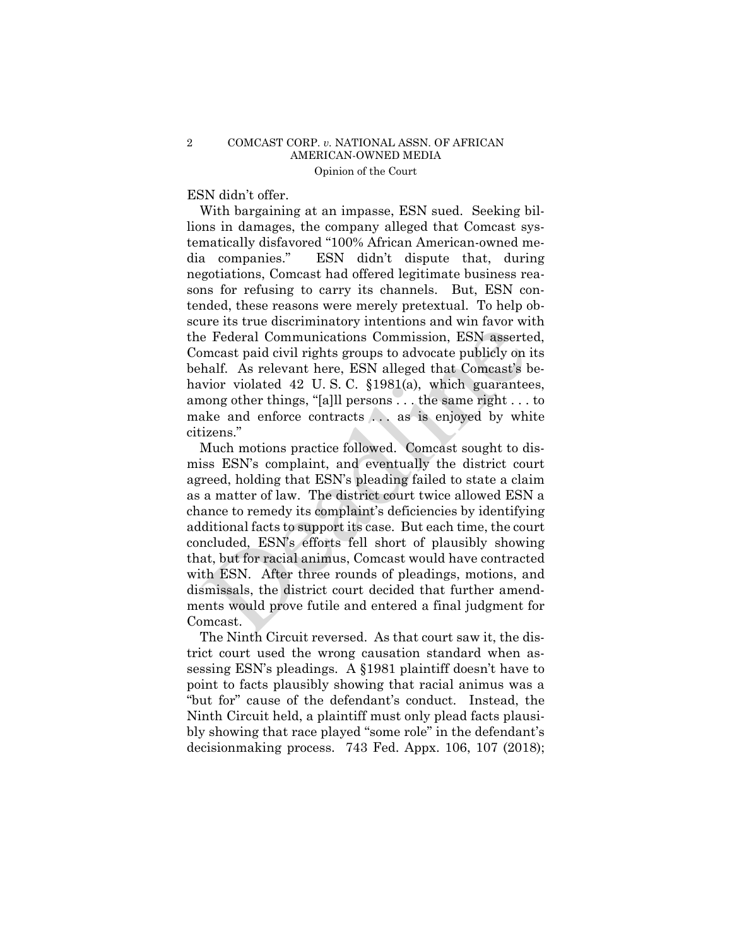## ESN didn't offer.

With bargaining at an impasse, ESN sued. Seeking billions in damages, the company alleged that Comcast systematically disfavored "100% African American-owned media companies." ESN didn't dispute that, during negotiations, Comcast had offered legitimate business reasons for refusing to carry its channels. But, ESN contended, these reasons were merely pretextual. To help obscure its true discriminatory intentions and win favor with the Federal Communications Commission, ESN asserted, Comcast paid civil rights groups to advocate publicly on its behalf. As relevant here, ESN alleged that Comcast's behavior violated 42 U.S.C. §1981(a), which guarantees, among other things, "[a]ll persons . . . the same right . . . to make and enforce contracts ... as is enjoyed by white citizens."

Much motions practice followed. Comcast sought to dismiss ESN's complaint, and eventually the district court agreed, holding that ESN's pleading failed to state a claim as a matter of law. The district court twice allowed ESN a chance to remedy its complaint's deficiencies by identifying additional facts to support its case. But each time, the court concluded, ESN's efforts fell short of plausibly showing that, but for racial animus, Comcast would have contracted with ESN. After three rounds of pleadings, motions, and dismissals, the district court decided that further amendments would prove futile and entered a final judgment for Comcast. e Federal Communications Commission, ESN assertances are rederal Communications Commission, ESN assertances and find the Assert and find the selevant here, ESN alleged that Comcast's by vivio violated 42 U.S.C. §1981(a), w

The Ninth Circuit reversed. As that court saw it, the district court used the wrong causation standard when assessing ESN's pleadings. A §1981 plaintiff doesn't have to point to facts plausibly showing that racial animus was a "but for" cause of the defendant's conduct. Instead, the Ninth Circuit held, a plaintiff must only plead facts plausibly showing that race played "some role" in the defendant's decisionmaking process. 743 Fed. Appx. 106, 107 (2018);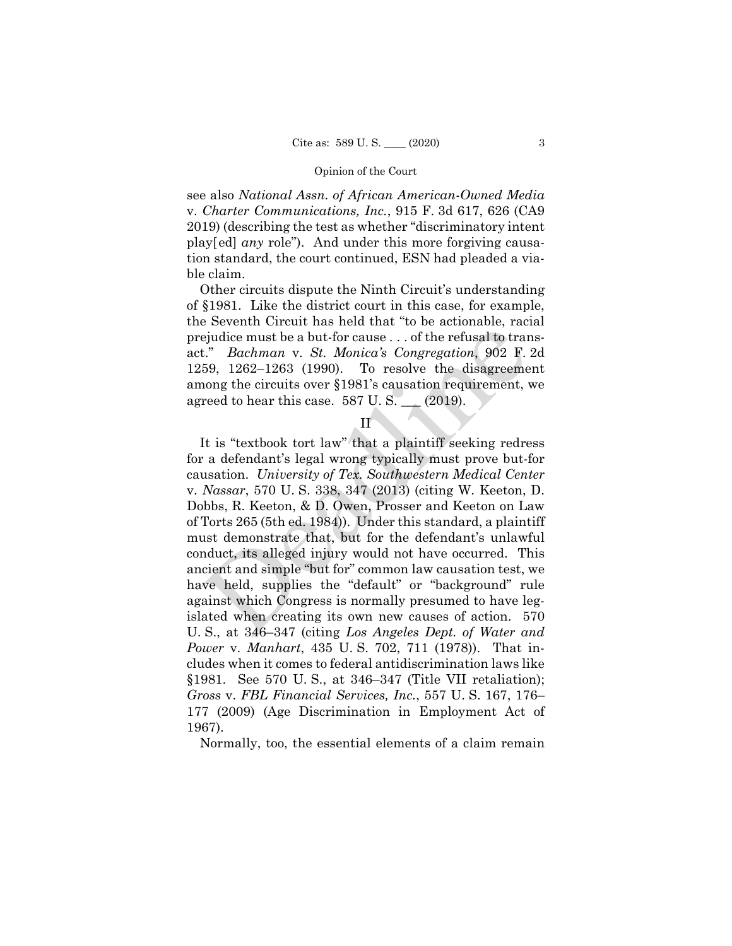see also *National Assn. of African American-Owned Media*  v. *Charter Communications, Inc.*, 915 F. 3d 617, 626 (CA9 2019) (describing the test as whether "discriminatory intent play[ed] *any* role"). And under this more forgiving causation standard, the court continued, ESN had pleaded a viable claim.

Other circuits dispute the Ninth Circuit's understanding of §1981. Like the district court in this case, for example, the Seventh Circuit has held that "to be actionable, racial prejudice must be a but-for cause . . . of the refusal to transact." *Bachman* v. *St. Monica's Congregation*, 902 F. 2d 1259, 1262–1263 (1990). To resolve the disagreement among the circuits over §1981's causation requirement, we agreed to hear this case.  $587 \text{ U.S.}$  (2019).

# II

It is "textbook tort law" that a plaintiff seeking redress for a defendant's legal wrong typically must prove but-for causation. *University of Tex. Southwestern Medical Center*  v. *Nassar*, 570 U. S. 338, 347 (2013) (citing W. Keeton, D. Dobbs, R. Keeton, & D. Owen, Prosser and Keeton on Law of Torts 265 (5th ed. 1984)). Under this standard, a plaintiff must demonstrate that, but for the defendant's unlawful conduct, its alleged injury would not have occurred. This ancient and simple "but for" common law causation test, we have held, supplies the "default" or "background" rule against which Congress is normally presumed to have legislated when creating its own new causes of action. 570 U. S., at 346–347 (citing *Los Angeles Dept. of Water and Power* v. *Manhart*, 435 U. S. 702, 711 (1978)). That includes when it comes to federal antidiscrimination laws like §1981. See 570 U. S., at 346–347 (Title VII retaliation); *Gross* v. *FBL Financial Services, Inc.*, 557 U. S. 167, 176– 177 (2009) (Age Discrimination in Employment Act of 1967). Equidice must be a but-for cause ... of the refusal to tranched the field of tranched to tranched the abut-for cause ... of the refusal to tranched the disagreeme ong the circuits over §1981's causation requirement, reed

Normally, too, the essential elements of a claim remain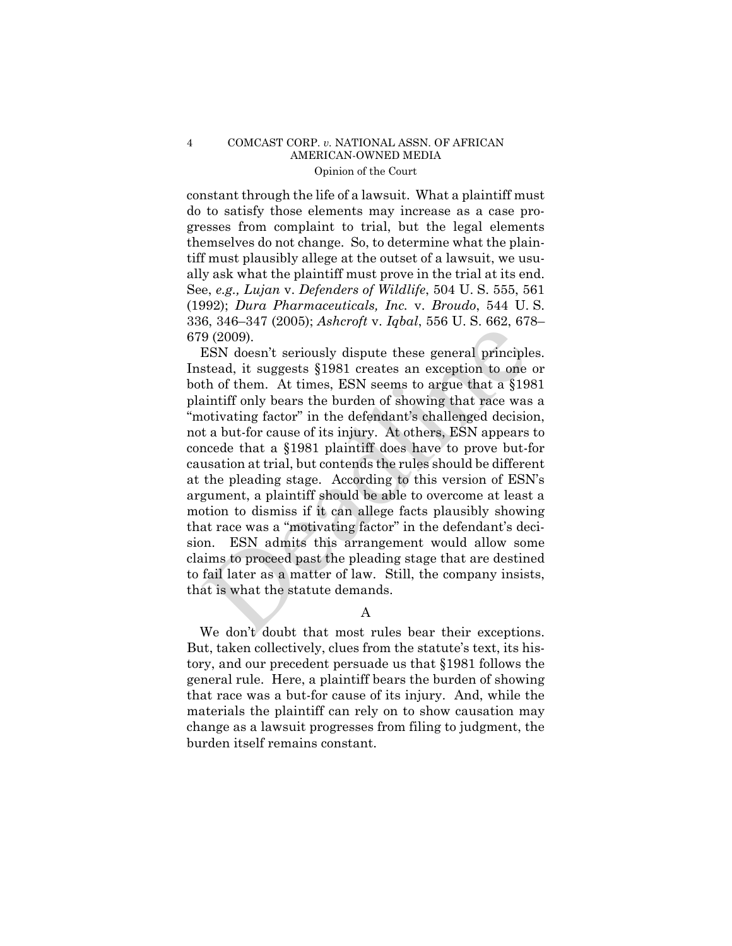### 4 COMCAST CORP. *v.* NATIONAL ASSN. OF AFRICAN AMERICAN-OWNED MEDIA Opinion of the Court

constant through the life of a lawsuit. What a plaintiff must do to satisfy those elements may increase as a case progresses from complaint to trial, but the legal elements themselves do not change. So, to determine what the plaintiff must plausibly allege at the outset of a lawsuit, we usually ask what the plaintiff must prove in the trial at its end. See, *e.g., Lujan* v. *Defenders of Wildlife*, 504 U. S. 555, 561 (1992); *Dura Pharmaceuticals, Inc.* v. *Broudo*, 544 U. S. 336, 346–347 (2005); *Ashcroft* v. *Iqbal*, 556 U. S. 662, 678– 679 (2009).

ESN doesn't seriously dispute these general principles. Instead, it suggests §1981 creates an exception to one or both of them. At times, ESN seems to argue that a §1981 plaintiff only bears the burden of showing that race was a "motivating factor" in the defendant's challenged decision, not a but-for cause of its injury. At others, ESN appears to concede that a §1981 plaintiff does have to prove but-for causation at trial, but contends the rules should be different at the pleading stage. According to this version of ESN's argument, a plaintiff should be able to overcome at least a motion to dismiss if it can allege facts plausibly showing that race was a "motivating factor" in the defendant's decision. ESN admits this arrangement would allow some claims to proceed past the pleading stage that are destined to fail later as a matter of law. Still, the company insists, that is what the statute demands. 9 (2009).<br>  $\bullet$  (2009).<br>  $\bullet$  (2009).<br>  $\bullet$  (2009).<br>
ESN doesn't seriously dispute these general principle<br>
stead, it suggests §1981 creates an exception to one<br>
the of them. At times, ESN seems to argue that a §19<br>
sinti

A

 We don't doubt that most rules bear their exceptions. But, taken collectively, clues from the statute's text, its history, and our precedent persuade us that §1981 follows the general rule. Here, a plaintiff bears the burden of showing that race was a but-for cause of its injury. And, while the materials the plaintiff can rely on to show causation may change as a lawsuit progresses from filing to judgment, the burden itself remains constant.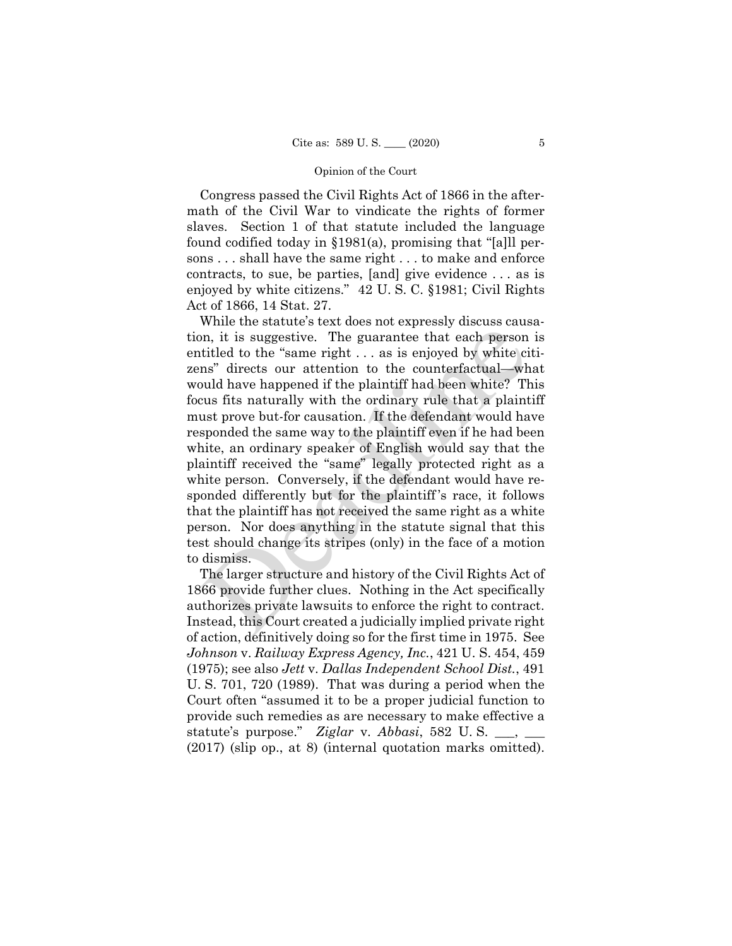Congress passed the Civil Rights Act of 1866 in the aftermath of the Civil War to vindicate the rights of former slaves. Section 1 of that statute included the language found codified today in §1981(a), promising that "[a]ll persons . . . shall have the same right . . . to make and enforce contracts, to sue, be parties, [and] give evidence . . . as is enjoyed by white citizens." 42 U. S. C. §1981; Civil Rights Act of 1866, 14 Stat. 27.

While the statute's text does not expressly discuss causation, it is suggestive. The guarantee that each person is entitled to the "same right . . . as is enjoyed by white citizens" directs our attention to the counterfactual—what would have happened if the plaintiff had been white? This focus fits naturally with the ordinary rule that a plaintiff must prove but-for causation. If the defendant would have responded the same way to the plaintiff even if he had been white, an ordinary speaker of English would say that the plaintiff received the "same" legally protected right as a white person. Conversely, if the defendant would have responded differently but for the plaintiff 's race, it follows that the plaintiff has not received the same right as a white person. Nor does anything in the statute signal that this test should change its stripes (only) in the face of a motion to dismiss. in, it is suggestive. The guarantee that each person titled to the "same right ... as is enjoyed by white cins" directs our attention to the counterfactual—wh wuld have happened if the plaintiff had been white? The guaran

 authorizes private lawsuits to enforce the right to contract. (2017) (slip op., at 8) (internal quotation marks omitted). The larger structure and history of the Civil Rights Act of 1866 provide further clues. Nothing in the Act specifically Instead, this Court created a judicially implied private right of action, definitively doing so for the first time in 1975. See *Johnson* v. *Railway Express Agency, Inc.*, 421 U. S. 454, 459 (1975); see also *Jett* v. *Dallas Independent School Dist.*, 491 U. S. 701, 720 (1989). That was during a period when the Court often "assumed it to be a proper judicial function to provide such remedies as are necessary to make effective a statute's purpose." *Ziglar* v. *Abbasi*, 582 U. S. \_\_\_, \_\_\_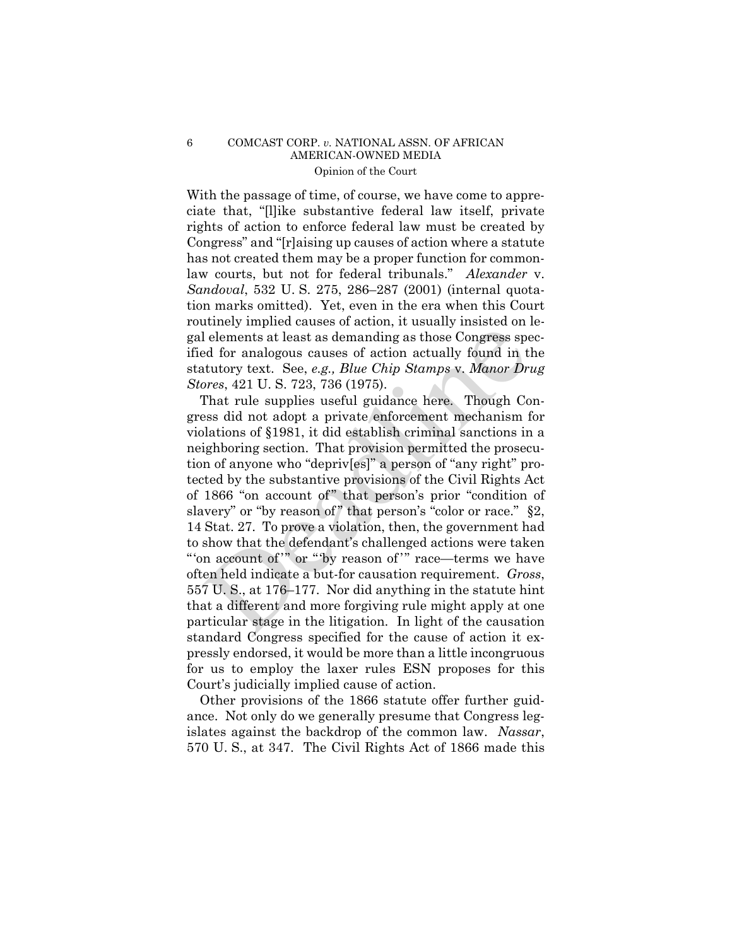### 6 COMCAST CORP. *v.* NATIONAL ASSN. OF AFRICAN AMERICAN-OWNED MEDIA Opinion of the Court

With the passage of time, of course, we have come to appreciate that, "[l]ike substantive federal law itself, private rights of action to enforce federal law must be created by Congress" and "[r]aising up causes of action where a statute has not created them may be a proper function for commonlaw courts, but not for federal tribunals." *Alexander* v. *Sandoval*, 532 U. S. 275, 286–287 (2001) (internal quotation marks omitted). Yet, even in the era when this Court routinely implied causes of action, it usually insisted on legal elements at least as demanding as those Congress specified for analogous causes of action actually found in the statutory text. See, *e.g., Blue Chip Stamps* v. *Manor Drug Stores*, 421 U. S. 723, 736 (1975).

That rule supplies useful guidance here. Though Congress did not adopt a private enforcement mechanism for violations of §1981, it did establish criminal sanctions in a neighboring section. That provision permitted the prosecution of anyone who "depriv[es]" a person of "any right" protected by the substantive provisions of the Civil Rights Act of 1866 "on account of " that person's prior "condition of slavery" or "by reason of" that person's "color or race." §2, 14 Stat. 27. To prove a violation, then, the government had to show that the defendant's challenged actions were taken "'on account of "" or "by reason of "" race—terms we have often held indicate a but-for causation requirement. *Gross*, 557 U. S., at 176–177. Nor did anything in the statute hint that a different and more forgiving rule might apply at one particular stage in the litigation. In light of the causation standard Congress specified for the cause of action it expressly endorsed, it would be more than a little incongruous for us to employ the laxer rules ESN proposes for this Court's judicially implied cause of action. Lelements at least as demanding as those Congress speed for analogous causes of action actually found in thuttory text. See, *e.g., Blue Chip Stamps v. Manor Dr*<br>ores, 421 U. S. 723, 736 (1975).<br>That rule supplies useful

Other provisions of the 1866 statute offer further guidance. Not only do we generally presume that Congress legislates against the backdrop of the common law. *Nassar*, 570 U. S., at 347. The Civil Rights Act of 1866 made this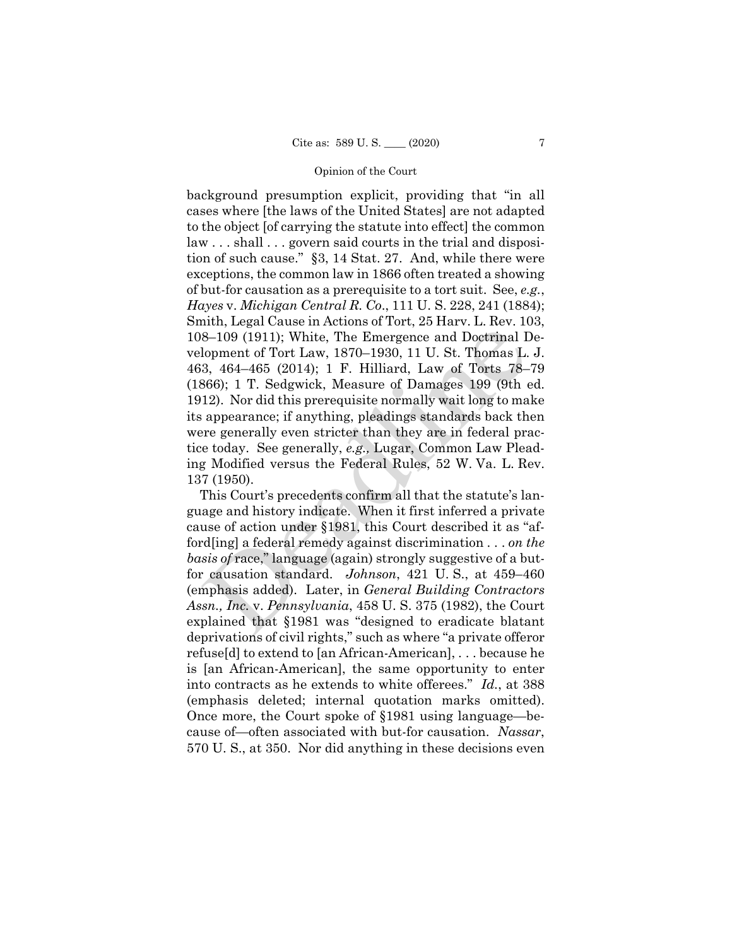background presumption explicit, providing that "in all cases where [the laws of the United States] are not adapted to the object [of carrying the statute into effect] the common law . . . shall . . . govern said courts in the trial and disposition of such cause." §3, 14 Stat. 27. And, while there were exceptions, the common law in 1866 often treated a showing of but-for causation as a prerequisite to a tort suit. See, *e.g.*, *Hayes* v. *Michigan Central R. Co*., 111 U. S. 228, 241 (1884); Smith, Legal Cause in Actions of Tort, 25 Harv. L. Rev. 103, 108–109 (1911); White, The Emergence and Doctrinal Development of Tort Law, 1870–1930, 11 U. St. Thomas L. J. 463, 464–465 (2014); 1 F. Hilliard, Law of Torts 78–79 (1866); 1 T. Sedgwick, Measure of Damages 199 (9th ed. 1912). Nor did this prerequisite normally wait long to make its appearance; if anything, pleadings standards back then were generally even stricter than they are in federal practice today. See generally, *e.g.,* Lugar, Common Law Pleading Modified versus the Federal Rules, 52 W. Va. L. Rev. 137 (1950). 8-109 (1911); White, The Emergence and Doctrinal I<br>
B-109 (1911); White, The Emergence and Doctrinal I<br>
lopment of Tort Law, 1870–1930, 11 U. St. Thomas L.<br>
3, 464–465 (2014); 1 F. Hilliard, Law of Torts 78–<br>
866); 1 T. S

This Court's precedents confirm all that the statute's language and history indicate. When it first inferred a private cause of action under §1981, this Court described it as "afford[ing] a federal remedy against discrimination . . . *on the basis of* race," language (again) strongly suggestive of a butfor causation standard. *Johnson*, 421 U. S., at 459–460 (emphasis added). Later, in *General Building Contractors Assn., Inc.* v. *Pennsylvania*, 458 U. S. 375 (1982), the Court explained that §1981 was "designed to eradicate blatant deprivations of civil rights," such as where "a private offeror refuse[d] to extend to [an African-American], . . . because he is [an African-American], the same opportunity to enter into contracts as he extends to white offerees." *Id.*, at 388 (emphasis deleted; internal quotation marks omitted). Once more, the Court spoke of §1981 using language—because of—often associated with but-for causation. *Nassar*, 570 U. S., at 350. Nor did anything in these decisions even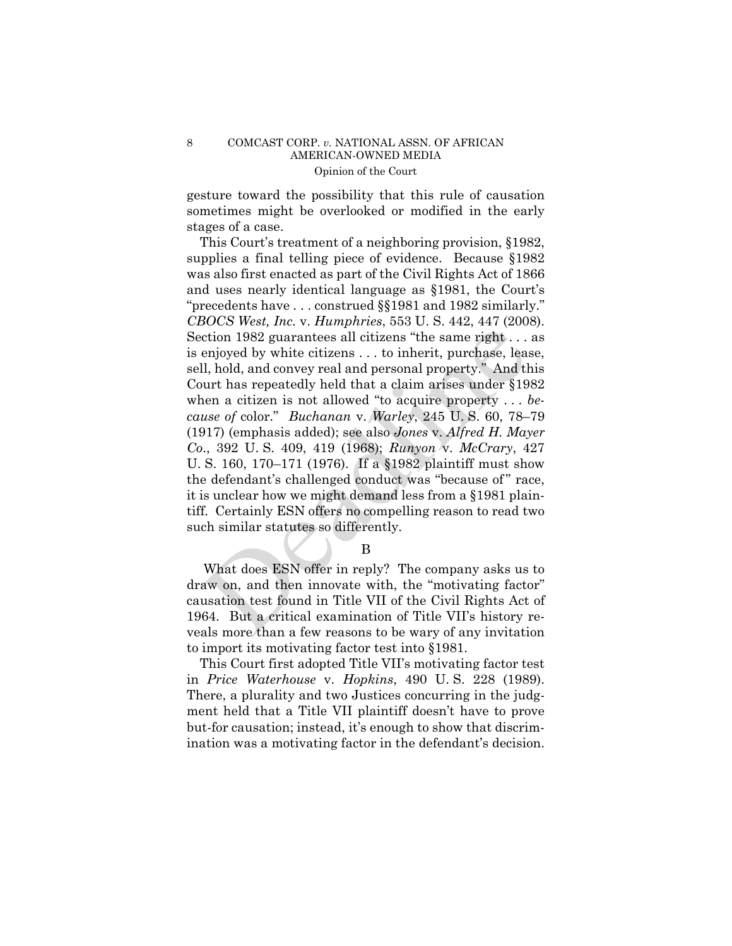### 8 COMCAST CORP. *v.* NATIONAL ASSN. OF AFRICAN AMERICAN-OWNED MEDIA Opinion of the Court

gesture toward the possibility that this rule of causation sometimes might be overlooked or modified in the early stages of a case.

This Court's treatment of a neighboring provision, §1982, supplies a final telling piece of evidence. Because §1982 was also first enacted as part of the Civil Rights Act of 1866 and uses nearly identical language as §1981, the Court's "precedents have . . . construed §§1981 and 1982 similarly." *CBOCS West, Inc.* v. *Humphries*, 553 U. S. 442, 447 (2008). Section 1982 guarantees all citizens "the same right . . . as is enjoyed by white citizens . . . to inherit, purchase, lease, sell, hold, and convey real and personal property." And this Court has repeatedly held that a claim arises under §1982 when a citizen is not allowed "to acquire property . . . *because of* color." *Buchanan* v. *Warley*, 245 U. S. 60, 78–79 (1917) (emphasis added); see also *Jones* v. *Alfred H. Mayer Co*., 392 U. S. 409, 419 (1968); *Runyon* v. *McCrary*, 427 U. S. 160, 170–171 (1976). If a §1982 plaintiff must show the defendant's challenged conduct was "because of" race, it is unclear how we might demand less from a §1981 plaintiff. Certainly ESN offers no compelling reason to read two such similar statutes so differently. ction 1982 guarantees all citizens "the same right...<br>
enjoyed by white citizens ... to inherit, purchase, leadly<br>
enjoyed by white citizens ... to inherit, purchase, lead<br>
all, hold, and convey real and personal property

B

What does ESN offer in reply? The company asks us to draw on, and then innovate with, the "motivating factor" causation test found in Title VII of the Civil Rights Act of 1964. But a critical examination of Title VII's history reveals more than a few reasons to be wary of any invitation to import its motivating factor test into §1981.

This Court first adopted Title VII's motivating factor test in *Price Waterhouse* v. *Hopkins*, 490 U. S. 228 (1989). There, a plurality and two Justices concurring in the judgment held that a Title VII plaintiff doesn't have to prove but-for causation; instead, it's enough to show that discrimination was a motivating factor in the defendant's decision.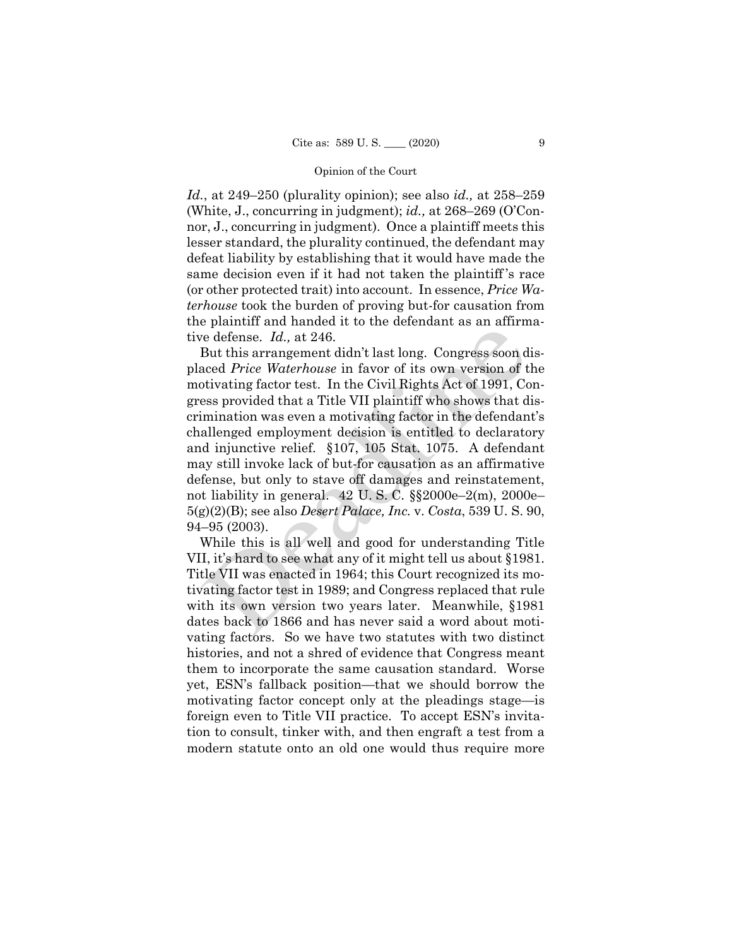*Id.*, at 249–250 (plurality opinion); see also *id.,* at 258–259 (White, J., concurring in judgment); *id.,* at 268–269 (O'Connor, J., concurring in judgment). Once a plaintiff meets this lesser standard, the plurality continued, the defendant may defeat liability by establishing that it would have made the same decision even if it had not taken the plaintiff 's race (or other protected trait) into account. In essence, *Price Waterhouse* took the burden of proving but-for causation from the plaintiff and handed it to the defendant as an affirmative defense. *Id.,* at 246.

But this arrangement didn't last long. Congress soon displaced *Price Waterhouse* in favor of its own version of the motivating factor test. In the Civil Rights Act of 1991, Congress provided that a Title VII plaintiff who shows that discrimination was even a motivating factor in the defendant's challenged employment decision is entitled to declaratory and injunctive relief. §107, 105 Stat. 1075. A defendant may still invoke lack of but-for causation as an affirmative defense, but only to stave off damages and reinstatement, not liability in general. 42 U. S. C. §§2000e–2(m), 2000e– 5(g)(2)(B); see also *Desert Palace, Inc.* v. *Costa*, 539 U. S. 90, 94–95 (2003). Federical is at 246.<br>
Federical in this arrangement didn't last long. Congress soon d<br>
Reader Price Waterhouse in favor of its own version of t<br>
stivating factor test. In the Civil Rights Act of 1991, Co<br>
ess provided tha

While this is all well and good for understanding Title VII, it's hard to see what any of it might tell us about §1981. Title VII was enacted in 1964; this Court recognized its motivating factor test in 1989; and Congress replaced that rule with its own version two years later. Meanwhile, §1981 dates back to 1866 and has never said a word about motivating factors. So we have two statutes with two distinct histories, and not a shred of evidence that Congress meant them to incorporate the same causation standard. Worse yet, ESN's fallback position—that we should borrow the motivating factor concept only at the pleadings stage—is foreign even to Title VII practice. To accept ESN's invitation to consult, tinker with, and then engraft a test from a modern statute onto an old one would thus require more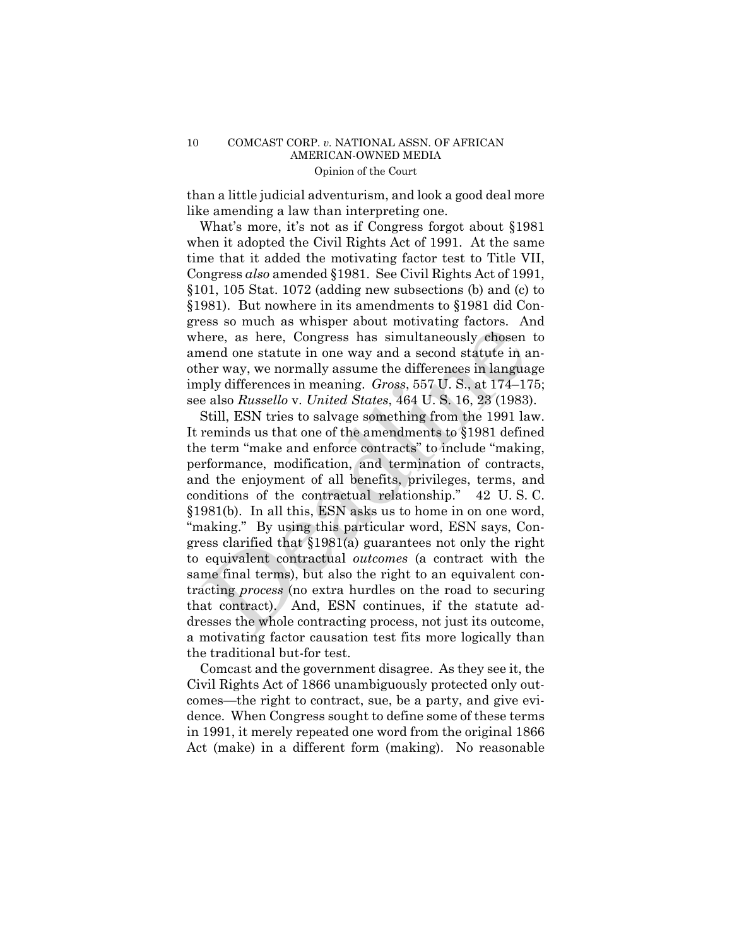than a little judicial adventurism, and look a good deal more like amending a law than interpreting one.

What's more, it's not as if Congress forgot about §1981 when it adopted the Civil Rights Act of 1991. At the same time that it added the motivating factor test to Title VII, Congress *also* amended §1981. See Civil Rights Act of 1991, §101, 105 Stat. 1072 (adding new subsections (b) and (c) to §1981). But nowhere in its amendments to §1981 did Congress so much as whisper about motivating factors. And where, as here, Congress has simultaneously chosen to amend one statute in one way and a second statute in another way, we normally assume the differences in language imply differences in meaning. *Gross*, 557 U. S., at 174–175; see also *Russello* v. *United States*, 464 U. S. 16, 23 (1983).

 "making." By using this particular word, ESN says, Con-Still, ESN tries to salvage something from the 1991 law. It reminds us that one of the amendments to §1981 defined the term "make and enforce contracts" to include "making, performance, modification, and termination of contracts, and the enjoyment of all benefits, privileges, terms, and conditions of the contractual relationship." 42 U. S. C. §1981(b). In all this, ESN asks us to home in on one word, gress clarified that §1981(a) guarantees not only the right to equivalent contractual *outcomes* (a contract with the same final terms), but also the right to an equivalent contracting *process* (no extra hurdles on the road to securing that contract). And, ESN continues, if the statute addresses the whole contracting process, not just its outcome, a motivating factor causation test fits more logically than the traditional but-for test. ence, as here, Congress has simultaneously chosen<br>nere, as here, Congress has simultaneously chosen<br>nend one statute in one way and a second statute in a<br>ner way, we normally assume the differences in langua<br>ply differenc

Comcast and the government disagree. As they see it, the Civil Rights Act of 1866 unambiguously protected only outcomes—the right to contract, sue, be a party, and give evidence. When Congress sought to define some of these terms in 1991, it merely repeated one word from the original 1866 Act (make) in a different form (making). No reasonable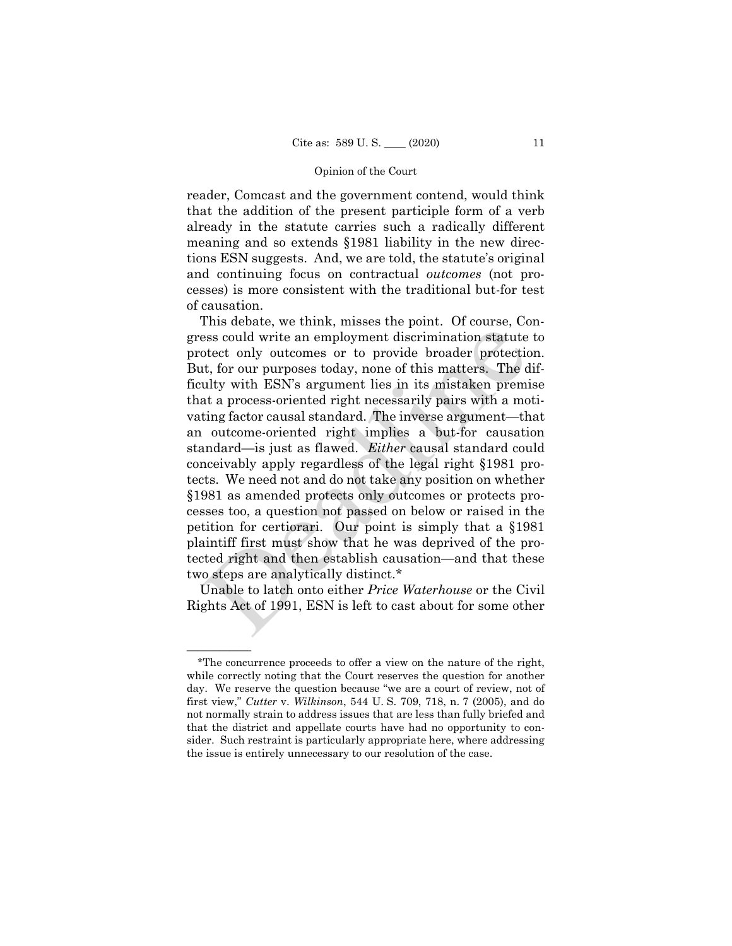reader, Comcast and the government contend, would think that the addition of the present participle form of a verb already in the statute carries such a radically different meaning and so extends §1981 liability in the new directions ESN suggests. And, we are told, the statute's original and continuing focus on contractual *outcomes* (not processes) is more consistent with the traditional but-for test of causation.

This debate, we think, misses the point. Of course, Congress could write an employment discrimination statute to protect only outcomes or to provide broader protection. But, for our purposes today, none of this matters. The difficulty with ESN's argument lies in its mistaken premise that a process-oriented right necessarily pairs with a motivating factor causal standard. The inverse argument—that an outcome-oriented right implies a but-for causation standard—is just as flawed. *Either* causal standard could conceivably apply regardless of the legal right §1981 protects. We need not and do not take any position on whether §1981 as amended protects only outcomes or protects processes too, a question not passed on below or raised in the petition for certiorari. Our point is simply that a §1981 plaintiff first must show that he was deprived of the protected right and then establish causation—and that these two steps are analytically distinct.\* From the unity of the memployment discrimination statute of the other that where the other or the production of this matters. The dulty with ESN's argument lies in its mistaken premiat a process-oriented right necessarily

Unable to latch onto either *Price Waterhouse* or the Civil Rights Act of 1991, ESN is left to cast about for some other

——————

<sup>\*</sup>The concurrence proceeds to offer a view on the nature of the right, while correctly noting that the Court reserves the question for another day. We reserve the question because "we are a court of review, not of first view," *Cutter* v. *Wilkinson*, 544 U. S. 709, 718, n. 7 (2005), and do not normally strain to address issues that are less than fully briefed and that the district and appellate courts have had no opportunity to consider. Such restraint is particularly appropriate here, where addressing the issue is entirely unnecessary to our resolution of the case.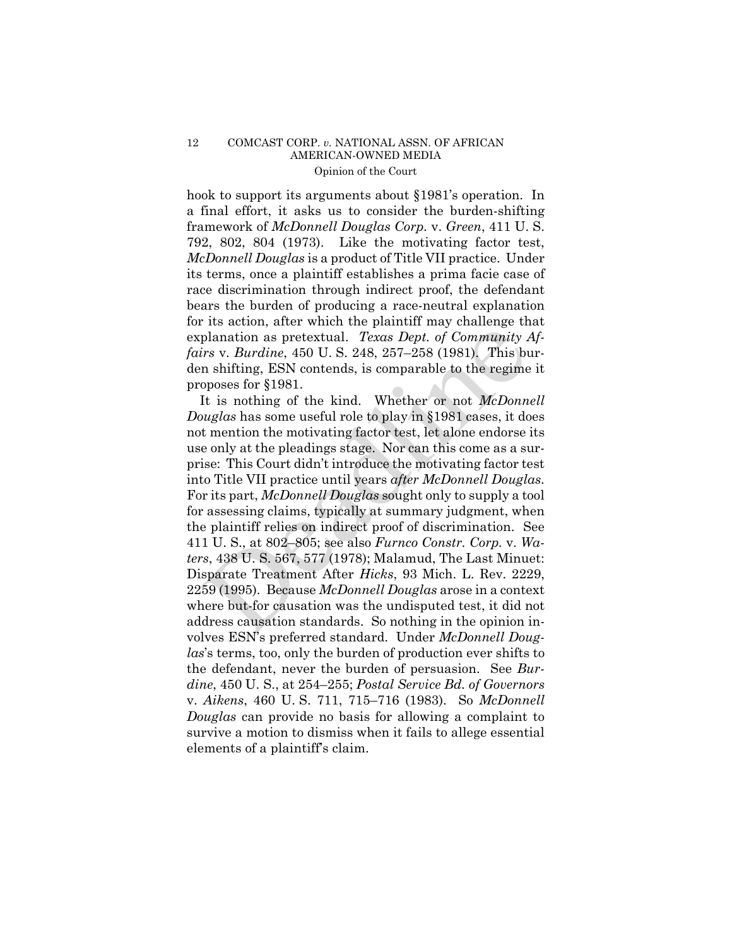### 12 COMCAST CORP. *v.* NATIONAL ASSN. OF AFRICAN AMERICAN-OWNED MEDIA Opinion of the Court

hook to support its arguments about §1981's operation. In a final effort, it asks us to consider the burden-shifting framework of *McDonnell Douglas Corp.* v. *Green*, 411 U. S. 792, 802, 804 (1973). Like the motivating factor test, *McDonnell Douglas* is a product of Title VII practice. Under its terms, once a plaintiff establishes a prima facie case of race discrimination through indirect proof, the defendant bears the burden of producing a race-neutral explanation for its action, after which the plaintiff may challenge that explanation as pretextual. *Texas Dept. of Community Affairs* v. *Burdine*, 450 U. S. 248, 257–258 (1981). This burden shifting, ESN contends, is comparable to the regime it proposes for §1981.

It is nothing of the kind. Whether or not *McDonnell Douglas* has some useful role to play in §1981 cases, it does not mention the motivating factor test, let alone endorse its use only at the pleadings stage. Nor can this come as a surprise: This Court didn't introduce the motivating factor test into Title VII practice until years *after McDonnell Douglas*. For its part, *McDonnell Douglas* sought only to supply a tool for assessing claims, typically at summary judgment, when the plaintiff relies on indirect proof of discrimination. See 411 U. S., at 802–805; see also *Furnco Constr. Corp.* v. *Waters*, 438 U. S. 567, 577 (1978); Malamud, The Last Minuet: Disparate Treatment After *Hicks*, 93 Mich. L. Rev. 2229, 2259 (1995). Because *McDonnell Douglas* arose in a context where but-for causation was the undisputed test, it did not address causation standards. So nothing in the opinion involves ESN's preferred standard. Under *McDonnell Douglas*'s terms, too, only the burden of production ever shifts to the defendant, never the burden of persuasion. See *Burdine*, 450 U. S., at 254–255; *Postal Service Bd. of Governors*  v. *Aikens*, 460 U. S. 711, 715–716 (1983). So *McDonnell Douglas* can provide no basis for allowing a complaint to survive a motion to dismiss when it fails to allege essential elements of a plaintiff's claim. Fraction as pretextual. Texas Dept. of Community  $\lambda$ <br>ris v. Burdine, 450 U. S. 248, 257-258 (1981). This but<br>is v. Burdine, 450 U. S. 248, 257-258 (1981). This but<br>n shifting, ESN contends, is comparable to the regime<br>op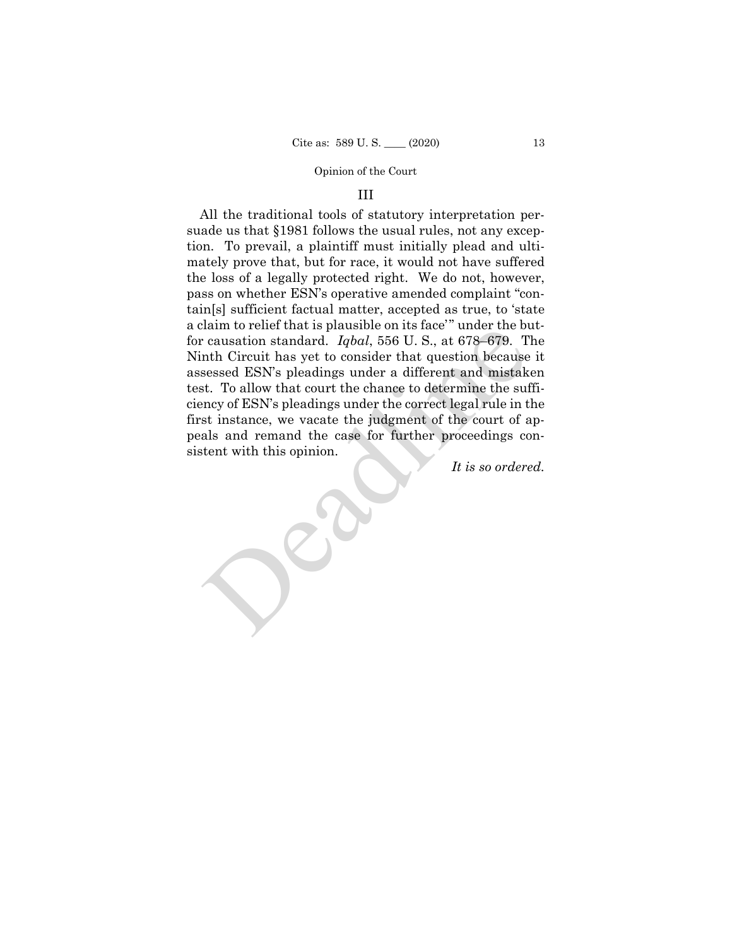### III

 for causation standard. *Iqbal*, 556 U. S., at 678–679. The All the traditional tools of statutory interpretation persuade us that §1981 follows the usual rules, not any exception. To prevail, a plaintiff must initially plead and ultimately prove that, but for race, it would not have suffered the loss of a legally protected right. We do not, however, pass on whether ESN's operative amended complaint "contain[s] sufficient factual matter, accepted as true, to 'state a claim to relief that is plausible on its face" under the but-Ninth Circuit has yet to consider that question because it assessed ESN's pleadings under a different and mistaken test. To allow that court the chance to determine the sufficiency of ESN's pleadings under the correct legal rule in the first instance, we vacate the judgment of the court of appeals and remand the case for further proceedings consistent with this opinion. Trainin to reflect that is plausible on its rate under the but<br>
c causation standard. Igolal, 556 U.S., at 678-679. T<br>
rath Circuit has yet to consider that question because<br>
sessed ESN's pleadings under a different and mi

*It is so ordered.*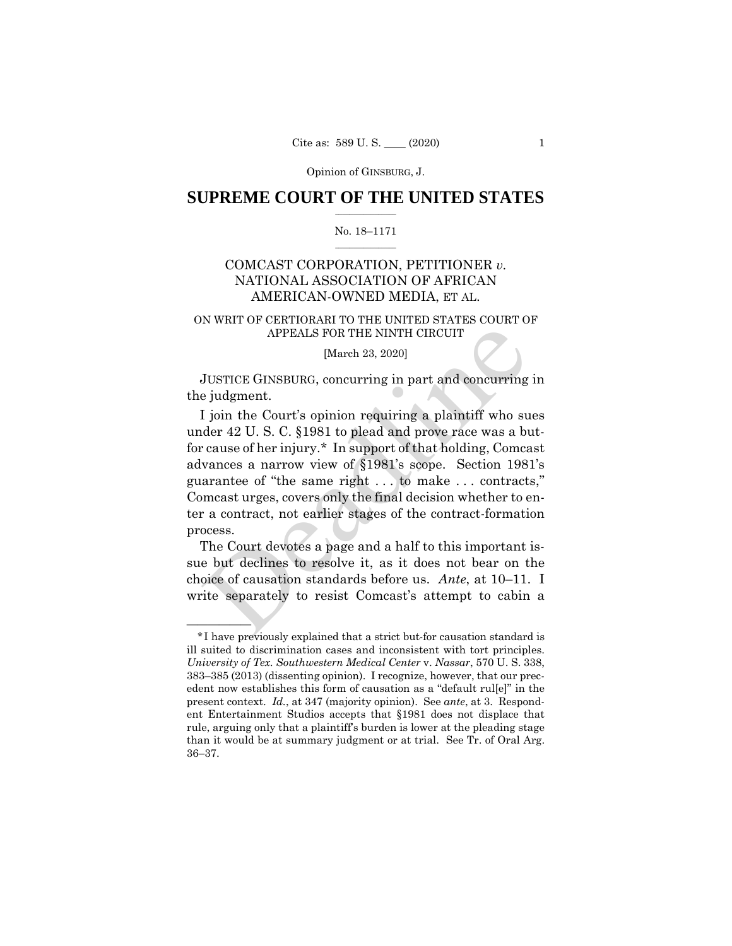Opinion of GINSBURG, J.

### $\frac{1}{2}$  ,  $\frac{1}{2}$  ,  $\frac{1}{2}$  ,  $\frac{1}{2}$  ,  $\frac{1}{2}$  ,  $\frac{1}{2}$  ,  $\frac{1}{2}$ **SUPREME COURT OF THE UNITED STATES**

#### $\frac{1}{2}$  ,  $\frac{1}{2}$  ,  $\frac{1}{2}$  ,  $\frac{1}{2}$  ,  $\frac{1}{2}$  ,  $\frac{1}{2}$ No. 18–1171

# COMCAST CORPORATION, PETITIONER *v.*  NATIONAL ASSOCIATION OF AFRICAN AMERICAN-OWNED MEDIA, ET AL.

## ON WRIT OF CERTIORARI TO THE UNITED STATES COURT OF APPEALS FOR THE NINTH CIRCUIT

#### [March 23, 2020]

 JUSTICE GINSBURG, concurring in part and concurring in the judgment.

I join the Court's opinion requiring a plaintiff who sues under 42 U. S. C. §1981 to plead and prove race was a butfor cause of her injury.\* In support of that holding, Comcast advances a narrow view of §1981's scope. Section 1981's guarantee of "the same right . . . to make . . . contracts," Comcast urges, covers only the final decision whether to enter a contract, not earlier stages of the contract-formation process. APPEALS FOR THE NINTH CIRCUIT<br>
[March 23, 2020]<br>
JUSTICE GINSBURG, concurring in part and concurring<br>
i pidgment.<br>
I join the Court's opinion requiring a plaintiff who suder 42 U.S.C. §1981 to plead and prove race was a b

The Court devotes a page and a half to this important issue but declines to resolve it, as it does not bear on the choice of causation standards before us. *Ante*, at 10–11. I write separately to resist Comcast's attempt to cabin a

——————

 \*I have previously explained that a strict but-for causation standard is ill suited to discrimination cases and inconsistent with tort principles. *University of Tex. Southwestern Medical Center* v. *Nassar*, 570 U. S. 338, 383–385 (2013) (dissenting opinion). I recognize, however, that our precedent now establishes this form of causation as a "default rul[e]" in the present context. *Id.*, at 347 (majority opinion). See *ante*, at 3. Respondent Entertainment Studios accepts that §1981 does not displace that rule, arguing only that a plaintiff's burden is lower at the pleading stage than it would be at summary judgment or at trial. See Tr. of Oral Arg. 36–37.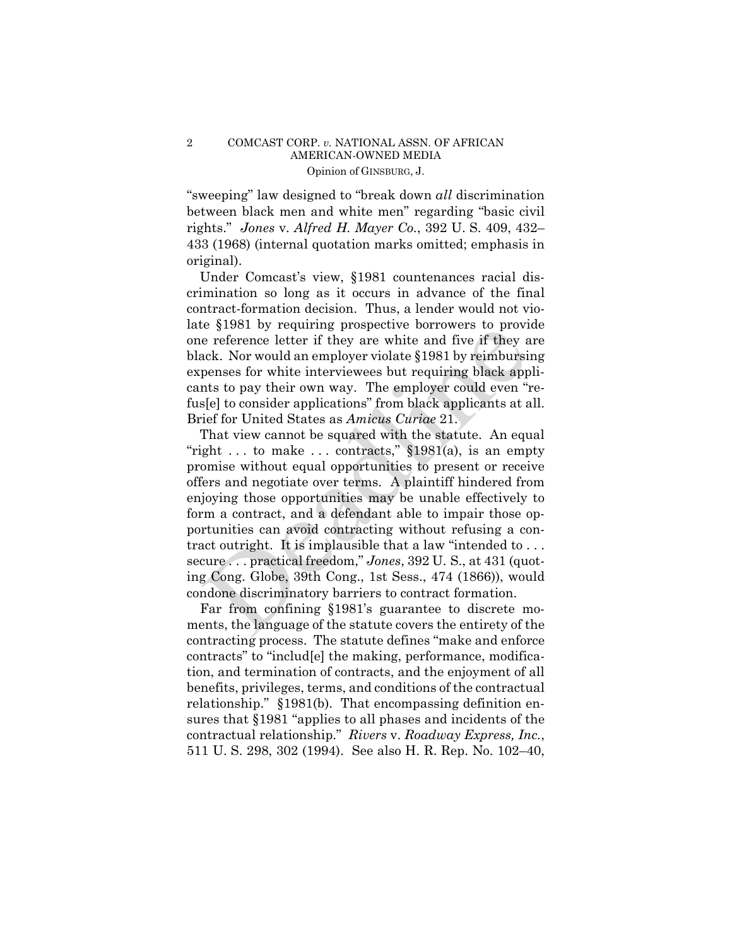### 2 COMCAST CORP. *v.* NATIONAL ASSN. OF AFRICAN AMERICAN-OWNED MEDIA Opinion of GINSBURG, J.

"sweeping" law designed to "break down *all* discrimination between black men and white men" regarding "basic civil rights." *Jones* v. *Alfred H. Mayer Co.*, 392 U. S. 409, 432– 433 (1968) (internal quotation marks omitted; emphasis in original).

Under Comcast's view, §1981 countenances racial discrimination so long as it occurs in advance of the final contract-formation decision. Thus, a lender would not violate §1981 by requiring prospective borrowers to provide one reference letter if they are white and five if they are black. Nor would an employer violate §1981 by reimbursing expenses for white interviewees but requiring black applicants to pay their own way. The employer could even "refus[e] to consider applications" from black applicants at all. Brief for United States as *Amicus Curiae* 21.

That view cannot be squared with the statute. An equal "right ... to make ... contracts,"  $\S 1981(a)$ , is an empty promise without equal opportunities to present or receive offers and negotiate over terms. A plaintiff hindered from enjoying those opportunities may be unable effectively to form a contract, and a defendant able to impair those opportunities can avoid contracting without refusing a contract outright. It is implausible that a law "intended to . . . secure . . . practical freedom," *Jones*, 392 U. S., at 431 (quoting Cong. Globe, 39th Cong., 1st Sess., 474 (1866)), would condone discriminatory barriers to contract formation. be efference letter if they are white and five if they are efference letter if they are white and five if they are white and five if they are white and five if they are white interviewes but requiring black applications o

Far from confining §1981's guarantee to discrete moments, the language of the statute covers the entirety of the contracting process. The statute defines "make and enforce contracts" to "includ[e] the making, performance, modification, and termination of contracts, and the enjoyment of all benefits, privileges, terms, and conditions of the contractual relationship." §1981(b). That encompassing definition ensures that §1981 "applies to all phases and incidents of the contractual relationship." *Rivers* v. *Roadway Express, Inc.*, 511 U. S. 298, 302 (1994). See also H. R. Rep. No. 102–40,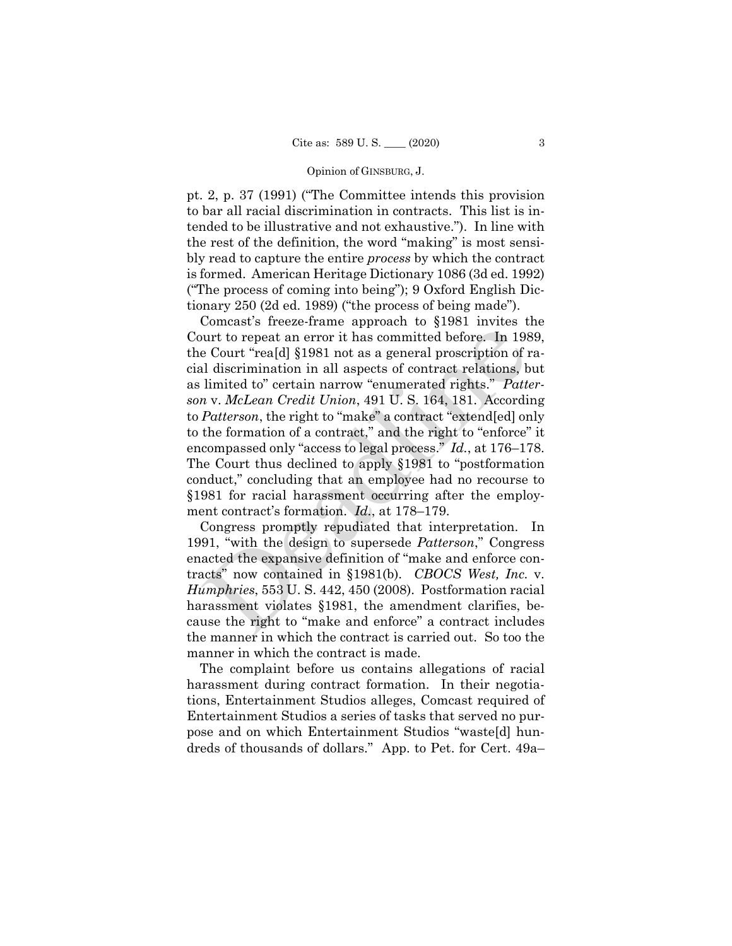#### Opinion of GINSBURG, J.

pt. 2, p. 37 (1991) ("The Committee intends this provision to bar all racial discrimination in contracts. This list is intended to be illustrative and not exhaustive."). In line with the rest of the definition, the word "making" is most sensibly read to capture the entire *process* by which the contract is formed. American Heritage Dictionary 1086 (3d ed. 1992) ("The process of coming into being"); 9 Oxford English Dictionary 250 (2d ed. 1989) ("the process of being made").

Comcast's freeze-frame approach to §1981 invites the Court to repeat an error it has committed before. In 1989, the Court "rea[d] §1981 not as a general proscription of racial discrimination in all aspects of contract relations, but as limited to" certain narrow "enumerated rights." *Patterson* v. *McLean Credit Union*, 491 U. S. 164, 181. According to *Patterson*, the right to "make" a contract "extend[ed] only to the formation of a contract," and the right to "enforce" it encompassed only "access to legal process." *Id.*, at 176–178. The Court thus declined to apply §1981 to "postformation conduct," concluding that an employee had no recourse to §1981 for racial harassment occurring after the employment contract's formation. *Id.*, at 178–179. wurt to repeat an error it has committed before. In 198<br>e Court "rea[d] §1981 not as a general proscription of id discrimination in all aspects of contract relations, b<br>limited to" certain narrow "enumerated rights." *Pat* 

Congress promptly repudiated that interpretation. In 1991, "with the design to supersede *Patterson*," Congress enacted the expansive definition of "make and enforce contracts" now contained in §1981(b). *CBOCS West, Inc.* v. *Humphries*, 553 U. S. 442, 450 (2008). Postformation racial harassment violates §1981, the amendment clarifies, because the right to "make and enforce" a contract includes the manner in which the contract is carried out. So too the manner in which the contract is made.

The complaint before us contains allegations of racial harassment during contract formation. In their negotiations, Entertainment Studios alleges, Comcast required of Entertainment Studios a series of tasks that served no purpose and on which Entertainment Studios "waste[d] hundreds of thousands of dollars." App. to Pet. for Cert. 49a–